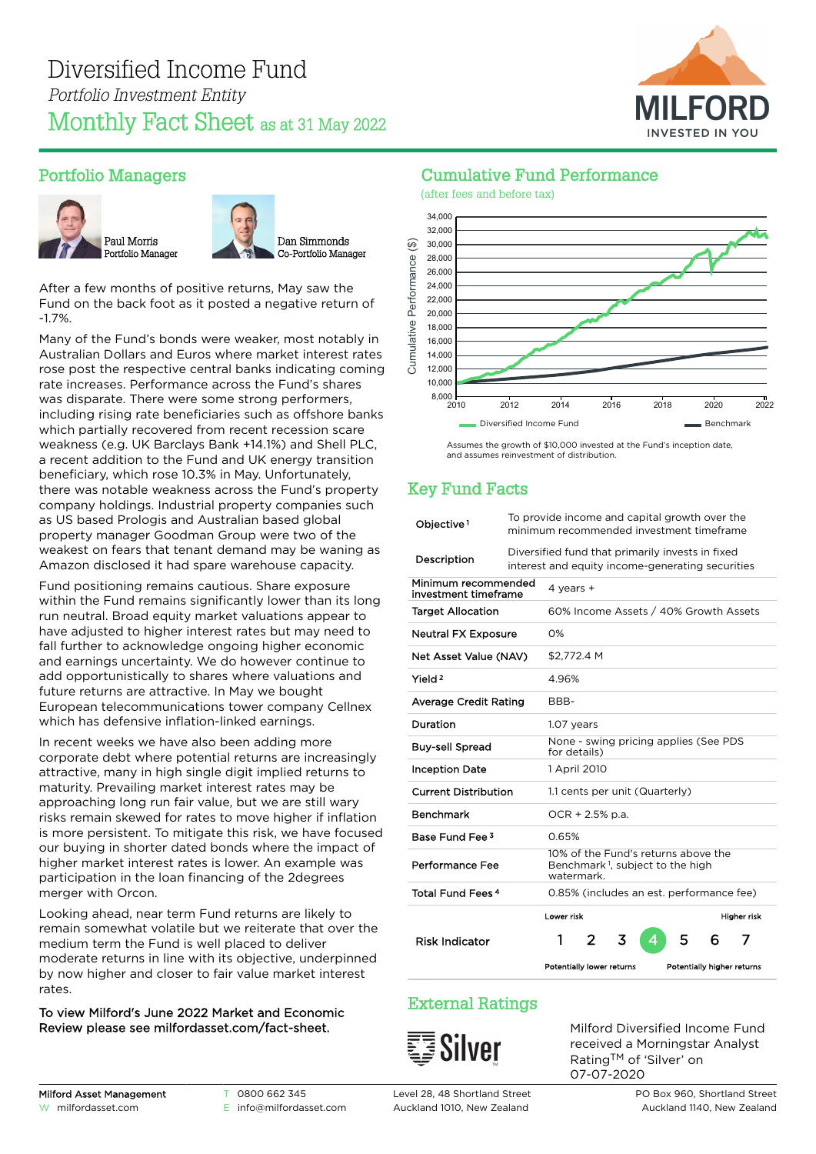

# Portfolio Managers





After a few months of positive returns, May saw the Fund on the back foot as it posted a negative return of -1.7%.

Many of the Fund's bonds were weaker, most notably in Australian Dollars and Euros where market interest rates rose post the respective central banks indicating coming rate increases. Performance across the Fund's shares was disparate. There were some strong performers, including rising rate beneficiaries such as offshore banks which partially recovered from recent recession scare weakness (e.g. UK Barclays Bank +14.1%) and Shell PLC, a recent addition to the Fund and UK energy transition beneficiary, which rose 10.3% in May. Unfortunately, there was notable weakness across the Fund's property company holdings. Industrial property companies such as US based Prologis and Australian based global property manager Goodman Group were two of the weakest on fears that tenant demand may be waning as Amazon disclosed it had spare warehouse capacity.

Fund positioning remains cautious. Share exposure within the Fund remains significantly lower than its long run neutral. Broad equity market valuations appear to have adjusted to higher interest rates but may need to fall further to acknowledge ongoing higher economic and earnings uncertainty. We do however continue to add opportunistically to shares where valuations and future returns are attractive. In May we bought European telecommunications tower company Cellnex which has defensive inflation-linked earnings.

In recent weeks we have also been adding more corporate debt where potential returns are increasingly attractive, many in high single digit implied returns to maturity. Prevailing market interest rates may be approaching long run fair value, but we are still wary risks remain skewed for rates to move higher if inflation is more persistent. To mitigate this risk, we have focused our buying in shorter dated bonds where the impact of higher market interest rates is lower. An example was participation in the loan financing of the 2degrees merger with Orcon.

Looking ahead, near term Fund returns are likely to remain somewhat volatile but we reiterate that over the medium term the Fund is well placed to deliver moderate returns in line with its objective, underpinned by now higher and closer to fair value market interest rates.

#### To view Milford's June 2022 Market and Economic Review please see [milfordasset.com/fact-sheet](https://milfordasset.com/wp-content/uploads/2022/06/Market-and-Economic-Review-June-2022.pdf).

## Cumulative Fund Performance



Assumes the growth of \$10,000 invested at the Fund's inception date, and assumes reinvestment of distribution.

# Key Fund Facts

| Objective <sup>1</sup>                      | To provide income and capital growth over the<br>minimum recommended investment timeframe            |                                                                                                   |       |   |   |   |   |                            |
|---------------------------------------------|------------------------------------------------------------------------------------------------------|---------------------------------------------------------------------------------------------------|-------|---|---|---|---|----------------------------|
| Description                                 | Diversified fund that primarily invests in fixed<br>interest and equity income-generating securities |                                                                                                   |       |   |   |   |   |                            |
| Minimum recommended<br>investment timeframe |                                                                                                      | 4 years $+$                                                                                       |       |   |   |   |   |                            |
| <b>Target Allocation</b>                    |                                                                                                      | 60% Income Assets / 40% Growth Assets                                                             |       |   |   |   |   |                            |
| <b>Neutral FX Exposure</b>                  |                                                                                                      | 0%                                                                                                |       |   |   |   |   |                            |
| Net Asset Value (NAV)                       |                                                                                                      | \$2,772.4 M                                                                                       |       |   |   |   |   |                            |
| Yield <sup>2</sup>                          |                                                                                                      |                                                                                                   | 4.96% |   |   |   |   |                            |
| <b>Average Credit Rating</b>                |                                                                                                      | BBB-                                                                                              |       |   |   |   |   |                            |
| Duration                                    |                                                                                                      | 1.07 years                                                                                        |       |   |   |   |   |                            |
| <b>Buy-sell Spread</b>                      |                                                                                                      | None - swing pricing applies (See PDS<br>for details)                                             |       |   |   |   |   |                            |
| <b>Inception Date</b>                       |                                                                                                      | 1 April 2010                                                                                      |       |   |   |   |   |                            |
| <b>Current Distribution</b>                 |                                                                                                      | 1.1 cents per unit (Quarterly)                                                                    |       |   |   |   |   |                            |
| <b>Benchmark</b>                            |                                                                                                      | $OCR + 2.5% p.a.$                                                                                 |       |   |   |   |   |                            |
| Base Fund Fee 3                             |                                                                                                      | 0.65%                                                                                             |       |   |   |   |   |                            |
| Performance Fee                             |                                                                                                      | 10% of the Fund's returns above the<br>Benchmark <sup>1</sup> , subject to the high<br>watermark. |       |   |   |   |   |                            |
| Total Fund Fees <sup>4</sup>                |                                                                                                      | 0.85% (includes an est. performance fee)                                                          |       |   |   |   |   |                            |
|                                             |                                                                                                      | Lower risk                                                                                        |       |   |   |   |   | Higher risk                |
| <b>Risk Indicator</b>                       |                                                                                                      | 1                                                                                                 | 2     | 3 | Δ | 5 | 6 | 7                          |
|                                             |                                                                                                      | Potentially lower returns                                                                         |       |   |   |   |   | Potentially higher returns |

# External Ratings



Milford Diversified Income Fund received a Morningstar Analyst Rating™ of 'Silver' on 07-07-2020